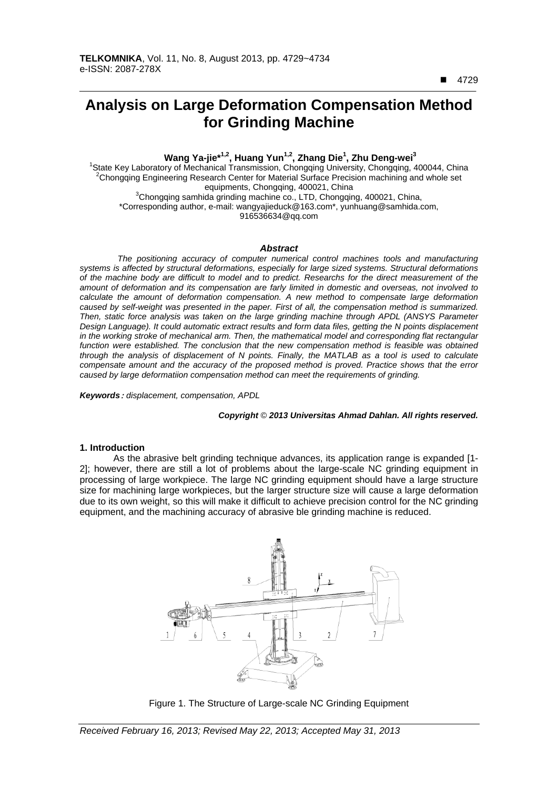4729

 $\overline{a}$ 

# **Analysis on Large Deformation Compensation Method for Grinding Machine**

**Wang Ya-jie<sup>\*1,2</sup>, Huang Yun<sup>1,2</sup>, Zhang Die<sup>1</sup>, Zhu Deng-wei<sup>3</sup><br><sup>1</sup>State Key Laboratory of Mechanical Transmission, Chongqing University, Chongqing, 400044, China<sup>2</sup>Chongging, Frating Pression, Pressing Pression, mechini**  $2$ Chongqing Engineering Research Center for Material Surface Precision machining and whole set equipments, Chongqing, 400021, China 3 <sup>3</sup>Chongqing samhida grinding machine co., LTD, Chongqing, 400021, China, \*Corresponding author, e-mail: wangyajieduck@163.com\*, yunhuang@samhida.com,

916536634@qq.com

#### *Abstract*

*The positioning accuracy of computer numerical control machines tools and manufacturing systems is affected by structural deformations, especially for large sized systems. Structural deformations of the machine body are difficult to model and to predict. Researchs for the direct measurement of the amount of deformation and its compensation are farly limited in domestic and overseas, not involved to calculate the amount of deformation compensation. A new method to compensate large deformation caused by self-weight was presented in the paper. First of all, the compensation method is summarized. Then, static force analysis was taken on the large grinding machine through APDL (ANSYS Parameter Design Language). It could automatic extract results and form data files, getting the N points displacement in the working stroke of mechanical arm. Then, the mathematical model and corresponding flat rectangular*  function were established. The conclusion that the new compensation method is feasible was obtained *through the analysis of displacement of N points. Finally, the MATLAB as a tool is used to calculate compensate amount and the accuracy of the proposed method is proved. Practice shows that the error caused by large deformatiion compensation method can meet the requirements of grinding.* 

*Keywords*: *displacement, compensation, APDL*

### *Copyright* © *2013 Universitas Ahmad Dahlan. All rights reserved.*

## **1. Introduction**

As the abrasive belt grinding technique advances, its application range is expanded [1- 2]; however, there are still a lot of problems about the large-scale NC grinding equipment in processing of large workpiece. The large NC grinding equipment should have a large structure size for machining large workpieces, but the larger structure size will cause a large deformation due to its own weight, so this will make it difficult to achieve precision control for the NC grinding equipment, and the machining accuracy of abrasive ble grinding machine is reduced.



Figure 1. The Structure of Large-scale NC Grinding Equipment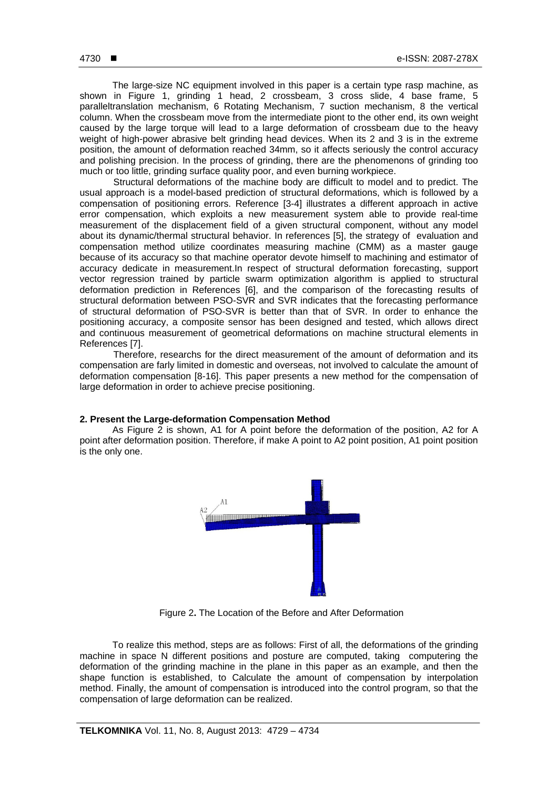The large-size NC equipment involved in this paper is a certain type rasp machine, as shown in Figure 1, grinding 1 head, 2 crossbeam, 3 cross slide, 4 base frame, 5 paralleltranslation mechanism, 6 Rotating Mechanism, 7 suction mechanism, 8 the vertical column. When the crossbeam move from the intermediate piont to the other end, its own weight caused by the large torque will lead to a large deformation of crossbeam due to the heavy weight of high-power abrasive belt grinding head devices. When its 2 and 3 is in the extreme position, the amount of deformation reached 34mm, so it affects seriously the control accuracy and polishing precision. In the process of grinding, there are the phenomenons of grinding too much or too little, grinding surface quality poor, and even burning workpiece.

Structural deformations of the machine body are difficult to model and to predict. The usual approach is a model-based prediction of structural deformations, which is followed by a compensation of positioning errors. Reference [3-4] illustrates a different approach in active error compensation, which exploits a new measurement system able to provide real-time measurement of the displacement field of a given structural component, without any model about its dynamic/thermal structural behavior. In references [5], the strategy of evaluation and compensation method utilize coordinates measuring machine (CMM) as a master gauge because of its accuracy so that machine operator devote himself to machining and estimator of accuracy dedicate in measurement.In respect of structural deformation forecasting, support vector regression trained by particle swarm optimization algorithm is applied to structural deformation prediction in References [6], and the comparison of the forecasting results of structural deformation between PSO-SVR and SVR indicates that the forecasting performance of structural deformation of PSO-SVR is better than that of SVR. In order to enhance the positioning accuracy, a composite sensor has been designed and tested, which allows direct and continuous measurement of geometrical deformations on machine structural elements in References [7].

Therefore, researchs for the direct measurement of the amount of deformation and its compensation are farly limited in domestic and overseas, not involved to calculate the amount of deformation compensation [8-16]. This paper presents a new method for the compensation of large deformation in order to achieve precise positioning.

# **2. Present the Large-deformation Compensation Method**

As Figure 2 is shown, A1 for A point before the deformation of the position, A2 for A point after deformation position. Therefore, if make A point to A2 point position, A1 point position is the only one.



Figure 2**.** The Location of the Before and After Deformation

To realize this method, steps are as follows: First of all, the deformations of the grinding machine in space N different positions and posture are computed, taking computering the deformation of the grinding machine in the plane in this paper as an example, and then the shape function is established, to Calculate the amount of compensation by interpolation method. Finally, the amount of compensation is introduced into the control program, so that the compensation of large deformation can be realized.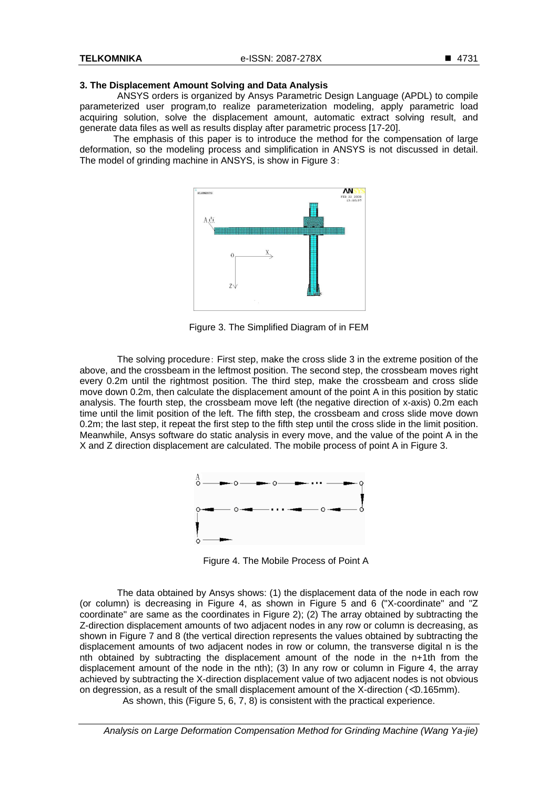### **3. The Displacement Amount Solving and Data Analysis**

ANSYS orders is organized by Ansys Parametric Design Language (APDL) to compile parameterized user program,to realize parameterization modeling, apply parametric load acquiring solution, solve the displacement amount, automatic extract solving result, and generate data files as well as results display after parametric process [17-20].

The emphasis of this paper is to introduce the method for the compensation of large deformation, so the modeling process and simplification in ANSYS is not discussed in detail. The model of grinding machine in ANSYS, is show in Figure 3:



Figure 3. The Simplified Diagram of in FEM

The solving procedure: First step, make the cross slide 3 in the extreme position of the above, and the crossbeam in the leftmost position. The second step, the crossbeam moves right every 0.2m until the rightmost position. The third step, make the crossbeam and cross slide move down 0.2m, then calculate the displacement amount of the point A in this position by static analysis. The fourth step, the crossbeam move left (the negative direction of x-axis) 0.2m each time until the limit position of the left. The fifth step, the crossbeam and cross slide move down 0.2m; the last step, it repeat the first step to the fifth step until the cross slide in the limit position. Meanwhile, Ansys software do static analysis in every move, and the value of the point A in the X and Z direction displacement are calculated. The mobile process of point A in Figure 3.



Figure 4. The Mobile Process of Point A

The data obtained by Ansys shows: (1) the displacement data of the node in each row (or column) is decreasing in Figure 4, as shown in Figure 5 and 6 ("X-coordinate" and "Z coordinate" are same as the coordinates in Figure 2); (2) The array obtained by subtracting the Z-direction displacement amounts of two adjacent nodes in any row or column is decreasing, as shown in Figure 7 and 8 (the vertical direction represents the values obtained by subtracting the displacement amounts of two adjacent nodes in row or column, the transverse digital n is the nth obtained by subtracting the displacement amount of the node in the n+1th from the displacement amount of the node in the nth); (3) In any row or column in Figure 4, the array achieved by subtracting the X-direction displacement value of two adjacent nodes is not obvious on degression, as a result of the small displacement amount of the X-direction (<0.165mm). As shown, this (Figure 5, 6, 7, 8) is consistent with the practical experience.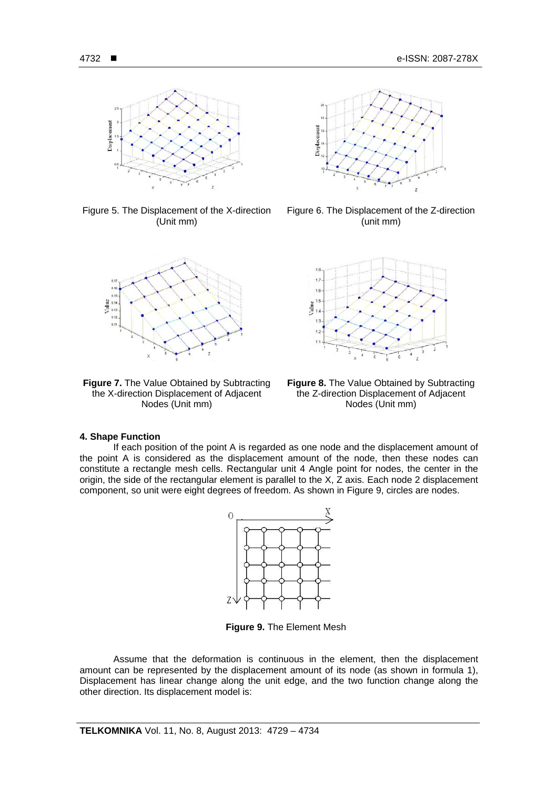

Figure 5. The Displacement of the X-direction (Unit mm)



**Figure 7.** The Value Obtained by Subtracting the X-direction Displacement of Adjacent Nodes (Unit mm)



Figure 6. The Displacement of the Z-direction (unit mm)



**Figure 8.** The Value Obtained by Subtracting the Z-direction Displacement of Adjacent Nodes (Unit mm)

#### **4. Shape Function**

If each position of the point A is regarded as one node and the displacement amount of the point A is considered as the displacement amount of the node, then these nodes can constitute a rectangle mesh cells. Rectangular unit 4 Angle point for nodes, the center in the origin, the side of the rectangular element is parallel to the X, Z axis. Each node 2 displacement component, so unit were eight degrees of freedom. As shown in Figure 9, circles are nodes.



**Figure 9.** The Element Mesh

Assume that the deformation is continuous in the element, then the displacement amount can be represented by the displacement amount of its node (as shown in formula 1), Displacement has linear change along the unit edge, and the two function change along the other direction. Its displacement model is: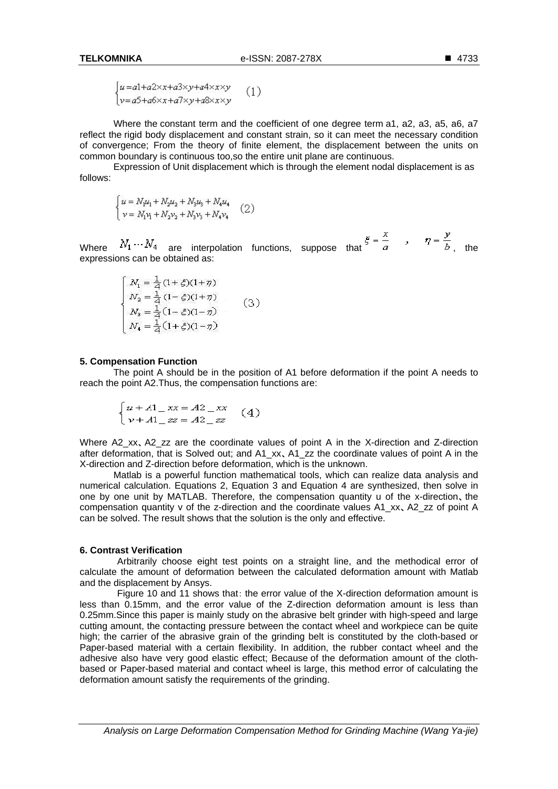$$
\begin{cases} u = a1 + a2 \times x + a3 \times y + a4 \times x \times y \\ v = a5 + a6 \times x + a7 \times y + a8 \times x \times y \end{cases} (1)
$$

Where the constant term and the coefficient of one degree term a1, a2, a3, a5, a6, a7 reflect the rigid body displacement and constant strain, so it can meet the necessary condition of convergence; From the theory of finite element, the displacement between the units on common boundary is continuous too, so the entire unit plane are continuous.

Expression of Unit displacement which is through the element nodal displacement is as follows:

$$
\begin{cases}\nu = N_1 u_1 + N_2 u_2 + N_3 u_3 + N_4 u_4 \\
\nu = N_1 v_1 + N_2 v_2 + N_3 v_3 + N_4 v_4\n\end{cases} (2)
$$

Where  $N_1 \cdots N_4$  are interpolation functions, suppose that  $\xi = \frac{x}{a}$ ,  $\eta = \frac{y}{b}$ , the expressions can be obtained as:

$$
\begin{cases}\nN_1 = \frac{1}{4} (1 + \xi)(1 + \eta) \\
N_2 = \frac{1}{4} (1 - \xi)(1 + \eta) \\
N_3 = \frac{1}{4} (1 - \xi)(1 - \eta) \\
N_4 = \frac{1}{4} (1 + \xi)(1 - \eta)\n\end{cases} (3)
$$

#### 5. Compensation Function

The point A should be in the position of A1 before deformation if the point A needs to reach the point A2. Thus, the compensation functions are:

$$
\begin{cases} u + A1 - xx = A2 - xx \\ v + A1 - zz = A2 - zz \end{cases} (4)
$$

Where A2\_xx, A2\_zz are the coordinate values of point A in the X-direction and Z-direction after deformation, that is Solved out; and A1\_xx, A1\_zz the coordinate values of point A in the X-direction and Z-direction before deformation, which is the unknown.

Matlab is a powerful function mathematical tools, which can realize data analysis and numerical calculation. Equations 2, Equation 3 and Equation 4 are synthesized, then solve in one by one unit by MATLAB. Therefore, the compensation quantity u of the x-direction, the compensation quantity v of the z-direction and the coordinate values A1 xx, A2 zz of point A can be solved. The result shows that the solution is the only and effective.

### 6. Contrast Verification

Arbitrarily choose eight test points on a straight line, and the methodical error of calculate the amount of deformation between the calculated deformation amount with Matlab and the displacement by Ansys.

Figure 10 and 11 shows that: the error value of the X-direction deformation amount is less than 0.15mm, and the error value of the Z-direction deformation amount is less than 0.25mm. Since this paper is mainly study on the abrasive belt grinder with high-speed and large cutting amount, the contacting pressure between the contact wheel and workpiece can be quite high; the carrier of the abrasive grain of the grinding belt is constituted by the cloth-based or Paper-based material with a certain flexibility. In addition, the rubber contact wheel and the adhesive also have very good elastic effect: Because of the deformation amount of the clothbased or Paper-based material and contact wheel is large, this method error of calculating the deformation amount satisfy the requirements of the grinding.